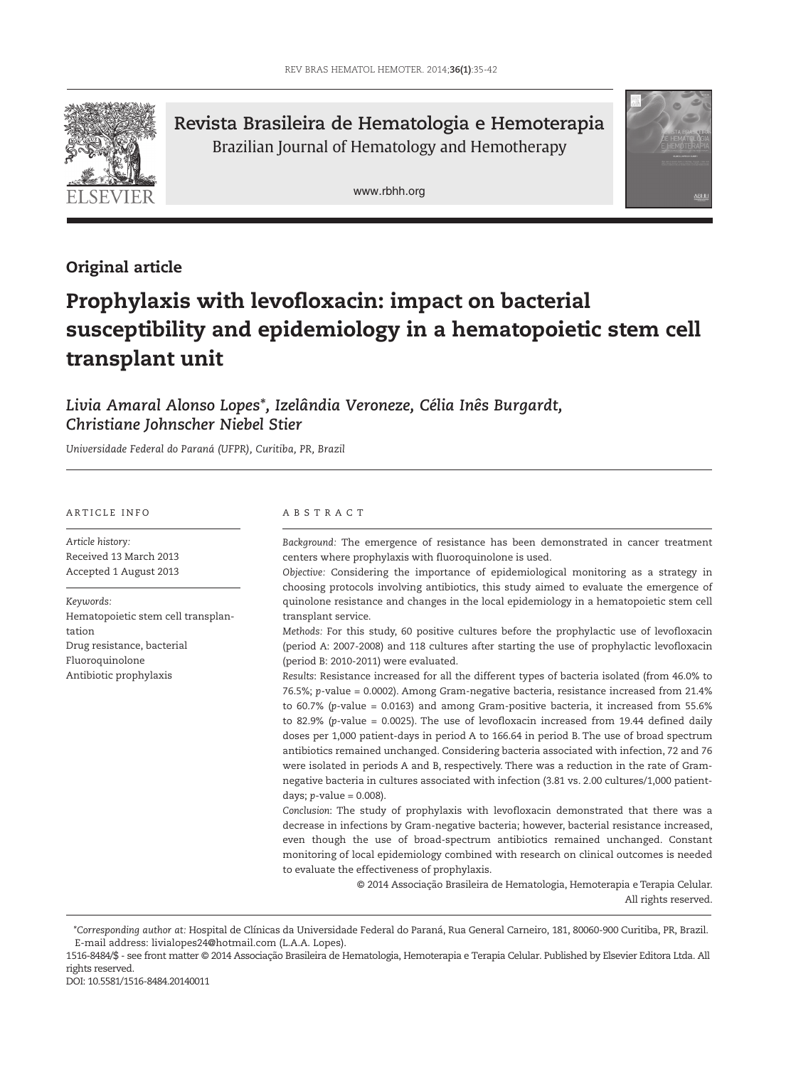

**Revista Brasileira de Hematologia e Hemoterapia** Brazilian Journal of Hematology and Hemotherapy

www.rbhh.org



# Original article

# Prophylaxis with levofloxacin: impact on bacterial susceptibility and epidemiology in a hematopoietic stem cell transplant unit

*Livia Amaral Alonso Lopes\*, Izelândia Veroneze, Célia Inês Burgardt, Christiane Johnscher Niebel Stier* 

*Universidade Federal do Paraná (UFPR), Curitiba, PR, Brazil*

#### ARTICLE INFO

*Article history:* Received 13 March 2013 Accepted 1 August 2013

*Keywords:* Hematopoietic stem cell transplantation Drug resistance, bacterial Fluoroquinolone Antibiotic prophylaxis

#### ABSTRACT

*Background:* The emergence of resistance has been demonstrated in cancer treatment centers where prophylaxis with fluoroquinolone is used.

*Objective:* Considering the importance of epidemiological monitoring as a strategy in choosing protocols involving antibiotics, this study aimed to evaluate the emergence of quinolone resistance and changes in the local epidemiology in a hematopoietic stem cell transplant service.

*Methods:* For this study, 60 positive cultures before the prophylactic use of levofloxacin (period A: 2007-2008) and 118 cultures after starting the use of prophylactic levofloxacin (period B: 2010-2011) were evaluated.

*Results*: Resistance increased for all the different types of bacteria isolated (from 46.0% to 76.5%; *p*-value = 0.0002). Among Gram-negative bacteria, resistance increased from 21.4% to 60.7% (*p*-value = 0.0163) and among Gram-positive bacteria, it increased from 55.6% to 82.9% (*p*-value = 0.0025). The use of levofloxacin increased from 19.44 defined daily doses per 1,000 patient-days in period A to 166.64 in period B. The use of broad spectrum antibiotics remained unchanged. Considering bacteria associated with infection, 72 and 76 were isolated in periods A and B, respectively. There was a reduction in the rate of Gramnegative bacteria in cultures associated with infection (3.81 vs. 2.00 cultures/1,000 patientdays; *p*-value = 0.008).

*Conclusion*: The study of prophylaxis with levofloxacin demonstrated that there was a decrease in infections by Gram-negative bacteria; however, bacterial resistance increased, even though the use of broad-spectrum antibiotics remained unchanged. Constant monitoring of local epidemiology combined with research on clinical outcomes is needed to evaluate the effectiveness of prophylaxis.

> © 2014 Associação Brasileira de Hematologia, Hemoterapia e Terapia Celular. All rights reserved.

*<sup>\*</sup>Corresponding author at:* Hospital de Clínicas da Universidade Federal do Paraná, Rua General Carneiro, 181, 80060-900 Curitiba, PR, Brazil. E-mail address: livialopes24@hotmail.com (L.A.A. Lopes).

<sup>1516-8484/\$ -</sup> see front matter © 2014 Associação Brasileira de Hematologia, Hemoterapia e Terapia Celular. Published by Elsevier Editora Ltda. All rights reserved.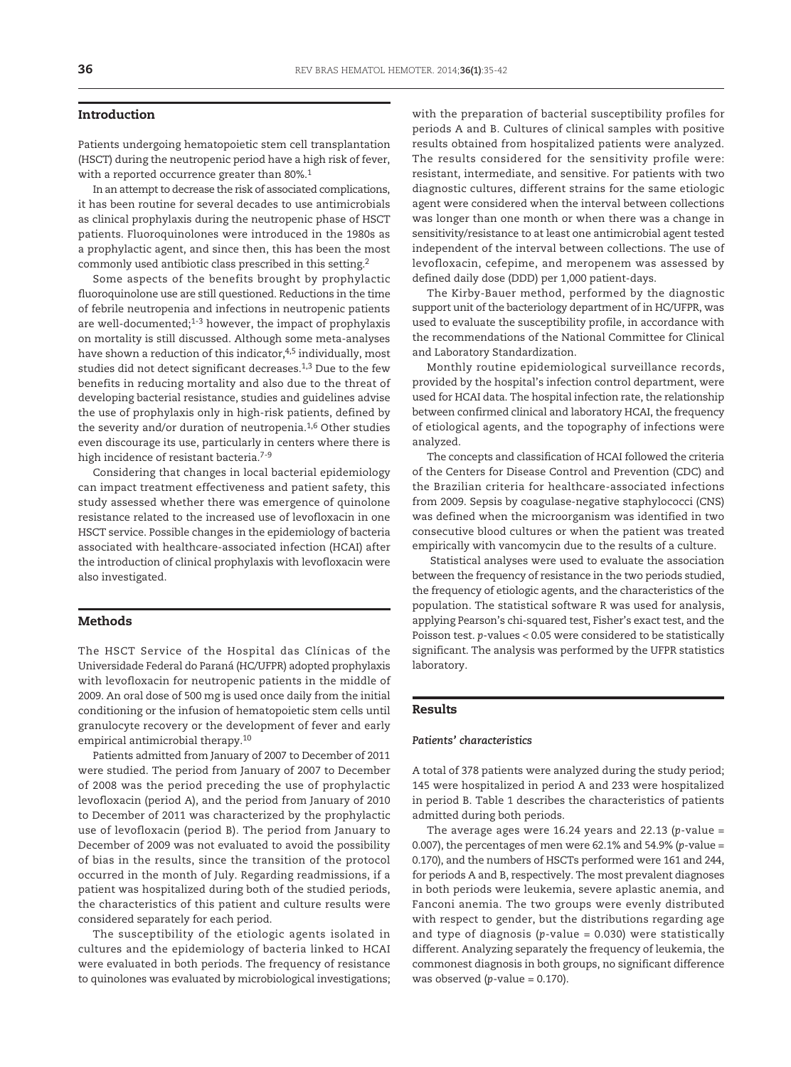# Introduction

Patients undergoing hematopoietic stem cell transplantation (HSCT) during the neutropenic period have a high risk of fever, with a reported occurrence greater than 80%.<sup>1</sup>

In an attempt to decrease the risk of associated complications, it has been routine for several decades to use antimicrobials as clinical prophylaxis during the neutropenic phase of HSCT patients. Fluoroquinolones were introduced in the 1980s as a prophylactic agent, and since then, this has been the most commonly used antibiotic class prescribed in this setting.2

Some aspects of the benefits brought by prophylactic fluoroquinolone use are still questioned. Reductions in the time of febrile neutropenia and infections in neutropenic patients are well-documented; $1-3$  however, the impact of prophylaxis on mortality is still discussed. Although some meta-analyses have shown a reduction of this indicator,  $\!4,5}$  individually, most studies did not detect significant decreases. $1,3$  Due to the few benefits in reducing mortality and also due to the threat of developing bacterial resistance, studies and guidelines advise the use of prophylaxis only in high-risk patients, defined by the severity and/or duration of neutropenia.<sup>1,6</sup> Other studies even discourage its use, particularly in centers where there is high incidence of resistant bacteria.<sup>7-9</sup>

Considering that changes in local bacterial epidemiology can impact treatment effectiveness and patient safety, this study assessed whether there was emergence of quinolone resistance related to the increased use of levofloxacin in one HSCT service. Possible changes in the epidemiology of bacteria associated with healthcare-associated infection (HCAI) after the introduction of clinical prophylaxis with levofloxacin were also investigated.

# **Methods**

The HSCT Service of the Hospital das Clínicas of the Universidade Federal do Paraná (HC/UFPR) adopted prophylaxis with levofloxacin for neutropenic patients in the middle of 2009. An oral dose of 500 mg is used once daily from the initial conditioning or the infusion of hematopoietic stem cells until granulocyte recovery or the development of fever and early empirical antimicrobial therapy.10

Patients admitted from January of 2007 to December of 2011 were studied. The period from January of 2007 to December of 2008 was the period preceding the use of prophylactic levofloxacin (period A), and the period from January of 2010 to December of 2011 was characterized by the prophylactic use of levofloxacin (period B). The period from January to December of 2009 was not evaluated to avoid the possibility of bias in the results, since the transition of the protocol occurred in the month of July. Regarding readmissions, if a patient was hospitalized during both of the studied periods, the characteristics of this patient and culture results were considered separately for each period.

The susceptibility of the etiologic agents isolated in cultures and the epidemiology of bacteria linked to HCAI were evaluated in both periods. The frequency of resistance to quinolones was evaluated by microbiological investigations; with the preparation of bacterial susceptibility profiles for periods A and B. Cultures of clinical samples with positive results obtained from hospitalized patients were analyzed. The results considered for the sensitivity profile were: resistant, intermediate, and sensitive. For patients with two diagnostic cultures, different strains for the same etiologic agent were considered when the interval between collections was longer than one month or when there was a change in sensitivity/resistance to at least one antimicrobial agent tested independent of the interval between collections. The use of levofloxacin, cefepime, and meropenem was assessed by defined daily dose (DDD) per 1,000 patient-days.

The Kirby-Bauer method, performed by the diagnostic support unit of the bacteriology department of in HC/UFPR, was used to evaluate the susceptibility profile, in accordance with the recommendations of the National Committee for Clinical and Laboratory Standardization.

Monthly routine epidemiological surveillance records, provided by the hospital's infection control department, were used for HCAI data. The hospital infection rate, the relationship between confirmed clinical and laboratory HCAI, the frequency of etiological agents, and the topography of infections were analyzed.

The concepts and classification of HCAI followed the criteria of the Centers for Disease Control and Prevention (CDC) and the Brazilian criteria for healthcare-associated infections from 2009. Sepsis by coagulase-negative staphylococci (CNS) was defined when the microorganism was identified in two consecutive blood cultures or when the patient was treated empirically with vancomycin due to the results of a culture.

 Statistical analyses were used to evaluate the association between the frequency of resistance in the two periods studied, the frequency of etiologic agents, and the characteristics of the population. The statistical software R was used for analysis, applying Pearson's chi-squared test, Fisher's exact test, and the Poisson test. *p*-values < 0.05 were considered to be statistically significant. The analysis was performed by the UFPR statistics laboratory.

# Results

#### *Patients' characteristics*

A total of 378 patients were analyzed during the study period; 145 were hospitalized in period A and 233 were hospitalized in period B. Table 1 describes the characteristics of patients admitted during both periods.

The average ages were 16.24 years and 22.13 (*p*-value = 0.007), the percentages of men were 62.1% and 54.9% (*p*-value = 0.170), and the numbers of HSCTs performed were 161 and 244, for periods A and B, respectively. The most prevalent diagnoses in both periods were leukemia, severe aplastic anemia, and Fanconi anemia. The two groups were evenly distributed with respect to gender, but the distributions regarding age and type of diagnosis (*p*-value = 0.030) were statistically different. Analyzing separately the frequency of leukemia, the commonest diagnosis in both groups, no significant difference was observed  $(p$ -value = 0.170).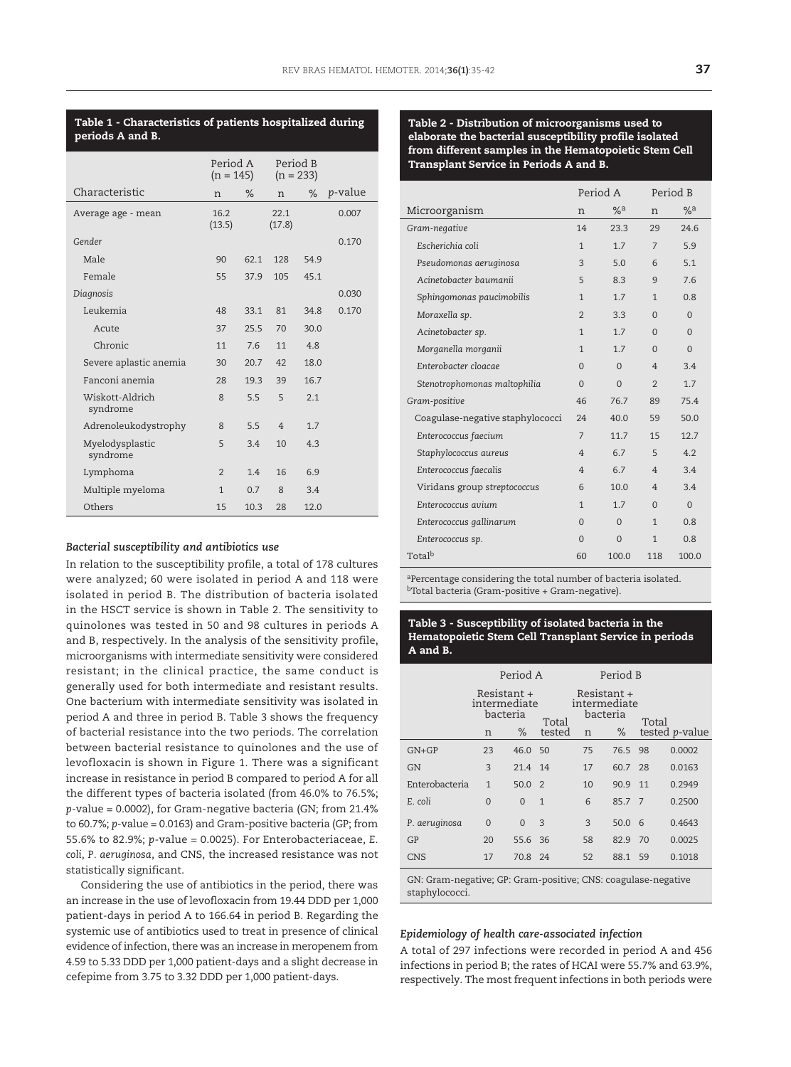| periods A and B.            |                         |      |                         |      |                 |
|-----------------------------|-------------------------|------|-------------------------|------|-----------------|
|                             | Period A<br>$(n = 145)$ |      | Period B<br>$(n = 233)$ |      |                 |
| Characteristic              | n                       | $\%$ | n                       | $\%$ | <i>p</i> -value |
| Average age - mean          | 16.2<br>(13.5)          |      | 22.1<br>(17.8)          |      | 0.007           |
| Gender                      |                         |      |                         |      | 0.170           |
| Male                        | 90                      | 62.1 | 128                     | 54.9 |                 |
| Female                      | 55                      | 37.9 | 105                     | 45.1 |                 |
| Diagnosis                   |                         |      |                         |      | 0.030           |
| Leukemia                    | 48                      | 33.1 | 81                      | 34.8 | 0.170           |
| Acute                       | 37                      | 25.5 | 70                      | 30.0 |                 |
| Chronic                     | 11                      | 7.6  | 11                      | 4.8  |                 |
| Severe aplastic anemia      | 30                      | 20.7 | 42                      | 18.0 |                 |
| Fanconi anemia              | 28                      | 19.3 | 39                      | 16.7 |                 |
| Wiskott-Aldrich<br>syndrome | 8                       | 5.5  | 5                       | 2.1  |                 |
| Adrenoleukodystrophy        | 8                       | 5.5  | $\overline{4}$          | 1.7  |                 |
| Myelodysplastic<br>syndrome | 5                       | 3.4  | 10                      | 4.3  |                 |
| Lymphoma                    | $\overline{2}$          | 1.4  | 16                      | 6.9  |                 |
| Multiple myeloma            | $\mathbf{1}$            | 0.7  | 8                       | 3.4  |                 |
| Others                      | 15                      | 10.3 | 28                      | 12.0 |                 |

Table 1 - Characteristics of patients hospitalized during

### *Bacterial susceptibility and antibiotics use*

In relation to the susceptibility profile, a total of 178 cultures were analyzed; 60 were isolated in period A and 118 were isolated in period B. The distribution of bacteria isolated in the HSCT service is shown in Table 2. The sensitivity to quinolones was tested in 50 and 98 cultures in periods A and B, respectively. In the analysis of the sensitivity profile, microorganisms with intermediate sensitivity were considered resistant; in the clinical practice, the same conduct is generally used for both intermediate and resistant results. One bacterium with intermediate sensitivity was isolated in period A and three in period B. Table 3 shows the frequency of bacterial resistance into the two periods. The correlation between bacterial resistance to quinolones and the use of levofloxacin is shown in Figure 1. There was a significant increase in resistance in period B compared to period A for all the different types of bacteria isolated (from 46.0% to 76.5%; *p*-value = 0.0002), for Gram-negative bacteria (GN; from 21.4% to 60.7%; *p*-value = 0.0163) and Gram-positive bacteria (GP; from 55.6% to 82.9%; *p*-value = 0.0025). For Enterobacteriaceae, *E. coli*, *P. aeruginosa*, and CNS, the increased resistance was not statistically significant.

Considering the use of antibiotics in the period, there was an increase in the use of levofloxacin from 19.44 DDD per 1,000 patient-days in period A to 166.64 in period B. Regarding the systemic use of antibiotics used to treat in presence of clinical evidence of infection, there was an increase in meropenem from 4.59 to 5.33 DDD per 1,000 patient-days and a slight decrease in cefepime from 3.75 to 3.32 DDD per 1,000 patient-days.

Table 2 - Distribution of microorganisms used to elaborate the bacterial susceptibility profile isolated from different samples in the Hematopoietic Stem Cell Transplant Service in Periods A and B.

|                                  | Period A       |                   | Period B       |          |
|----------------------------------|----------------|-------------------|----------------|----------|
| Microorganism                    | n              | $\%$ <sup>a</sup> | n              | $\%$ a   |
| Gram-negative                    | 14             | 23.3              | 29             | 24.6     |
| Escherichia coli                 | 1              | 1.7               | $\overline{7}$ | 5.9      |
| Pseudomonas aeruginosa           | 3              | 5.0               | 6              | 5.1      |
| Acinetobacter baumanii           | 5              | 8.3               | 9              | 7.6      |
| Sphingomonas paucimobilis        | $\mathbf{1}$   | 1.7               | $\mathbf{1}$   | 0.8      |
| Moraxella sp.                    | $\overline{2}$ | 3.3               | $\Omega$       | $\Omega$ |
| Acinetobacter sp.                | 1              | 17                | $\Omega$       | $\Omega$ |
| Morganella morganii              | $\mathbf{1}$   | 1.7               | $\Omega$       | $\Omega$ |
| Enterobacter cloacae             | $\Omega$       | $\Omega$          | $\overline{4}$ | 3.4      |
| Stenotrophomonas maltophilia     | $\Omega$       | $\Omega$          | $\mathfrak{D}$ | 1.7      |
| Gram-positive                    | 46             | 76.7              | 89             | 75.4     |
| Coagulase-negative staphylococci | 24             | 40.0              | 59             | 50.0     |
| Enterococcus faecium             | 7              | 11.7              | 15             | 12.7     |
| Staphylococcus aureus            | $\overline{4}$ | 6.7               | 5              | 42       |
| Enterococcus faecalis            | $\overline{4}$ | 6.7               | $\overline{4}$ | 3.4      |
| Viridans group streptococcus     | 6              | 10.0              | 4              | 3.4      |
| Enterococcus avium               | $\mathbf{1}$   | 1.7               | $\Omega$       | $\Omega$ |
| Enterococcus gallinarum          | $\Omega$       | $\Omega$          | $\mathbf{1}$   | 0.8      |
| Enterococcus sp.                 | $\Omega$       | $\Omega$          | $\mathbf{1}$   | 0.8      |
| Totalb                           | 60             | 100.0             | 118            | 100.0    |

aPercentage considering the total number of bacteria isolated. bTotal bacteria (Gram-positive + Gram-negative).

### Table 3 - Susceptibility of isolated bacteria in the Hematopoietic Stem Cell Transplant Service in periods A and B.

|                | Period A                                |          |                | Period B     |                         |                |                        |
|----------------|-----------------------------------------|----------|----------------|--------------|-------------------------|----------------|------------------------|
|                | Resistant +<br>intermediate<br>bacteria |          | Total          | intermediate | Resistant +<br>bacteria | Total          |                        |
|                | n                                       | $\%$     | tested         | n            | $\%$                    |                | tested <i>p</i> -value |
| $GN+GP$        | 23                                      | 46.0     | 50             | 75           | 76.5 98                 |                | 0.0002                 |
| GN             | 3                                       | 21.4 14  |                | 17           | 60.7 28                 |                | 0.0163                 |
| Enterobacteria | $\mathbf{1}$                            | 50.0     | $\overline{2}$ | 10           | 90.9                    | 11             | 0.2949                 |
| E. coli        | $\Omega$                                | $\Omega$ | $\mathbf{1}$   | 6            | 85.7                    | $\overline{7}$ | 0.2500                 |
| P. aeruginosa  | $\Omega$                                | $\Omega$ | 3              | 3            | 50.0                    | 6              | 0.4643                 |
| GP             | 20                                      | 55.6     | 36             | 58           | 82.9                    | 70             | 0.0025                 |
| CNS            | 17                                      | 70.8 24  |                | 52           | 88.1                    | 59             | 0.1018                 |
|                |                                         |          |                |              |                         |                |                        |

GN: Gram-negative; GP: Gram-positive; CNS: coagulase-negative staphylococci.

#### *Epidemiology of health care-associated infection*

A total of 297 infections were recorded in period A and 456 infections in period B; the rates of HCAI were 55.7% and 63.9%, respectively. The most frequent infections in both periods were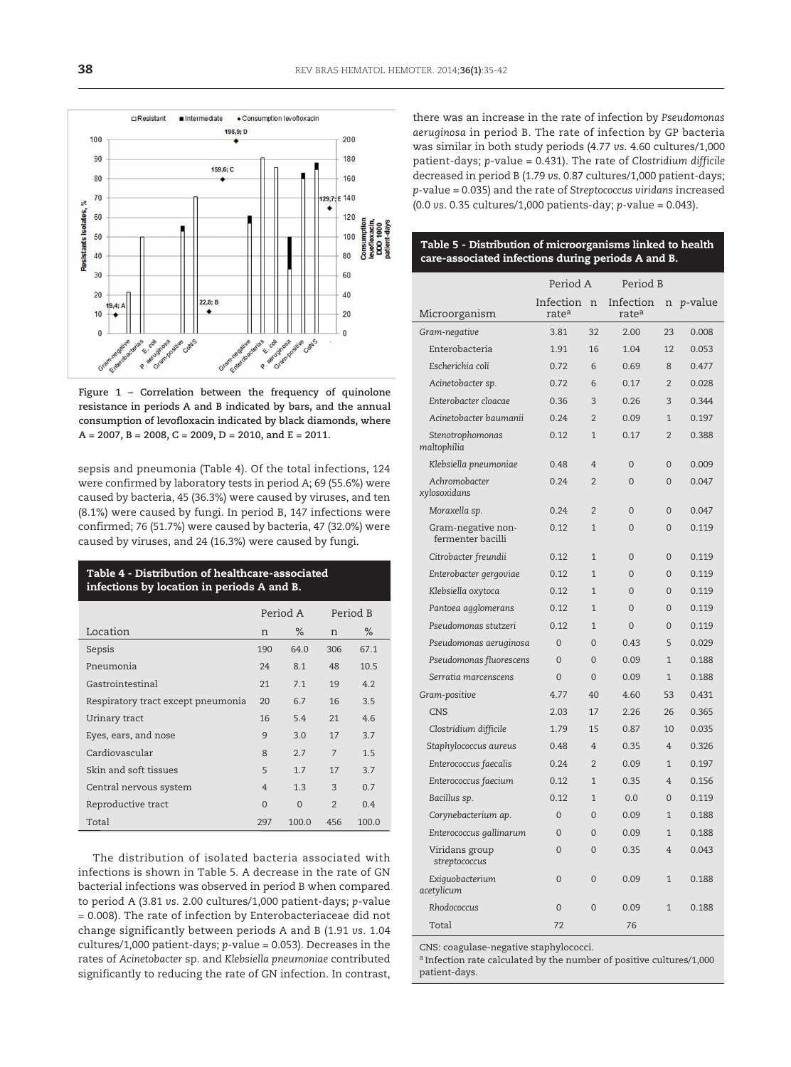

**Figure 1 – Correlation between the frequency of quinolone resistance in periods A and B indicated by bars, and the annual consumption of levofloxacin indicated by black diamonds, where A = 2007, B = 2008, C = 2009, D = 2010, and E = 2011.**

sepsis and pneumonia (Table 4). Of the total infections, 124 were confirmed by laboratory tests in period A; 69 (55.6%) were caused by bacteria, 45 (36.3%) were caused by viruses, and ten (8.1%) were caused by fungi. In period B, 147 infections were confirmed; 76 (51.7%) were caused by bacteria, 47 (32.0%) were caused by viruses, and 24 (16.3%) were caused by fungi.

| Table 4 - Distribution of healthcare-associated<br>infections by location in periods A and B. |                |          |                |       |  |  |
|-----------------------------------------------------------------------------------------------|----------------|----------|----------------|-------|--|--|
|                                                                                               | Period A       |          | Period B       |       |  |  |
| Location                                                                                      | n              | $\%$     | n              | ℅     |  |  |
| Sepsis                                                                                        | 190            | 64.0     | 306            | 67.1  |  |  |
| Pneumonia                                                                                     | 24             | 8.1      | 48             | 10.5  |  |  |
| Gastrointestinal                                                                              | 21             | 7.1      | 19             | 4.2   |  |  |
| Respiratory tract except pneumonia                                                            | 20             | 6.7      | 16             | 3.5   |  |  |
| Urinary tract                                                                                 | 16             | 5.4      | 21             | 4.6   |  |  |
| Eyes, ears, and nose                                                                          | 9              | 3.0      | 17             | 3.7   |  |  |
| Cardiovascular                                                                                | $\mathsf{R}$   | 2.7      | 7              | 1.5   |  |  |
| Skin and soft tissues                                                                         | 5              | 1.7      | 17             | 3.7   |  |  |
| Central nervous system                                                                        | $\overline{4}$ | 1.3      | 3              | 0.7   |  |  |
| Reproductive tract                                                                            | $\Omega$       | $\Omega$ | $\mathfrak{D}$ | 0.4   |  |  |
| Total                                                                                         | 297            | 100.0    | 456            | 100.0 |  |  |

The distribution of isolated bacteria associated with infections is shown in Table 5. A decrease in the rate of GN bacterial infections was observed in period B when compared to period A (3.81 *vs*. 2.00 cultures/1,000 patient-days; *p*-value = 0.008). The rate of infection by Enterobacteriaceae did not change significantly between periods A and B (1.91 *vs*. 1.04 cultures/1,000 patient-days; *p*-value = 0.053). Decreases in the rates of *Acinetobacter* sp. and *Klebsiella pneumoniae* contributed significantly to reducing the rate of GN infection. In contrast,

there was an increase in the rate of infection by *Pseudomonas aeruginosa* in period B. The rate of infection by GP bacteria was similar in both study periods (4.77 *vs*. 4.60 cultures/1,000 patient-days; *p*-value = 0.431). The rate of *Clostridium difficile*  decreased in period B (1.79 *vs*. 0.87 cultures/1,000 patient-days; *p*-value = 0.035) and the rate of *Streptococcus viridans* increased (0.0 *vs*. 0.35 cultures/1,000 patients-day; *p*-value = 0.043).

| Table 5 - Distribution of microorganisms linked to health<br>care-associated infections during periods A and B. |                                |                |                                |                |                 |  |  |
|-----------------------------------------------------------------------------------------------------------------|--------------------------------|----------------|--------------------------------|----------------|-----------------|--|--|
|                                                                                                                 | Period A                       |                | Period B                       |                |                 |  |  |
| Microorganism                                                                                                   | Infection<br>rate <sup>a</sup> | n              | Infection<br>rate <sup>a</sup> | n              | <i>p</i> -value |  |  |
| Gram-negative                                                                                                   | 3.81                           | 32             | 2.00                           | 23             | 0.008           |  |  |
| Enterobacteria                                                                                                  | 1.91                           | 16             | 1.04                           | 12             | 0.053           |  |  |
| Escherichia coli                                                                                                | 0.72                           | 6              | 0.69                           | 8              | 0.477           |  |  |
| Acinetobacter sp.                                                                                               | 0.72                           | 6              | 0.17                           | $\overline{2}$ | 0.028           |  |  |
| Enterobacter cloacae                                                                                            | 0.36                           | 3              | 0.26                           | 3              | 0.344           |  |  |
| Acinetobacter baumanii                                                                                          | 0.24                           | $\overline{2}$ | 0.09                           | $\mathbf{1}$   | 0.197           |  |  |
| Stenotrophomonas<br>maltophilia                                                                                 | 0.12                           | $\mathbf{1}$   | 0.17                           | $\overline{2}$ | 0.388           |  |  |
| Klebsiella pneumoniae                                                                                           | 0.48                           | 4              | $\Omega$                       | $\overline{0}$ | 0.009           |  |  |
| Achromobacter<br>xylosoxidans                                                                                   | 0.24                           | $\overline{2}$ | $\Omega$                       | $\overline{0}$ | 0.047           |  |  |
| Moraxella sp.                                                                                                   | 0.24                           | $\overline{2}$ | $\Omega$                       | 0              | 0.047           |  |  |
| Gram-negative non-<br>fermenter bacilli                                                                         | 0.12                           | $\mathbf{1}$   | $\Omega$                       | $\Omega$       | 0.119           |  |  |
| Citrobacter freundii                                                                                            | 0.12                           | $\mathbf{1}$   | $\Omega$                       | $\Omega$       | 0.119           |  |  |
| Enterobacter gergoviae                                                                                          | 0.12                           | $\mathbf{1}$   | $\Omega$                       | $\Omega$       | 0.119           |  |  |
| Klebsiella oxytoca                                                                                              | 0.12                           | $\mathbf{1}$   | $\Omega$                       | $\overline{0}$ | 0.119           |  |  |
| Pantoea agglomerans                                                                                             | 0.12                           | $\mathbf{1}$   | $\Omega$                       | $\overline{0}$ | 0.119           |  |  |
| Pseudomonas stutzeri                                                                                            | 0.12                           | $\mathbf{1}$   | $\Omega$                       | $\overline{0}$ | 0.119           |  |  |
| Pseudomonas aeruginosa                                                                                          | $\Omega$                       | 0              | 0.43                           | 5              | 0.029           |  |  |
| Pseudomonas fluorescens                                                                                         | $\Omega$                       | 0              | 0.09                           | $\mathbf{1}$   | 0.188           |  |  |
| Serratia marcenscens                                                                                            | $\Omega$                       | $\overline{0}$ | 0.09                           | 1              | 0.188           |  |  |
| Gram-positive                                                                                                   | 4.77                           | 40             | 4.60                           | 53             | 0.431           |  |  |
| <b>CNS</b>                                                                                                      | 2.03                           | 17             | 2.26                           | 26             | 0.365           |  |  |
| Clostridium difficile                                                                                           | 1.79                           | 15             | 0.87                           | 10             | 0.035           |  |  |
| Staphylococcus aureus                                                                                           | 0.48                           | $\overline{4}$ | 0.35                           | $\overline{4}$ | 0.326           |  |  |
| Enterococcus faecalis                                                                                           | 0.24                           | $\overline{2}$ | 0.09                           | $\mathbf{1}$   | 0.197           |  |  |
| Enterococcus faecium                                                                                            | 0.12                           | $\mathbf{1}$   | 0.35                           | $\overline{4}$ | 0.156           |  |  |
| Bacillus sp.                                                                                                    | 0.12                           | $\mathbf{1}$   | 0.0                            | 0              | 0.119           |  |  |
| Corynebacterium ap.                                                                                             | $\overline{0}$                 | 0              | 0.09                           | 1              | 0.188           |  |  |
| Enterococcus gallinarum                                                                                         | 0                              | 0              | 0.09                           | 1              | 0.188           |  |  |
| Viridans group<br>streptococcus                                                                                 | $\overline{0}$                 | $\overline{0}$ | 0.35                           | 4              | 0.043           |  |  |
| Exiguobacterium<br>acetylicum                                                                                   | 0                              | $\mathbf 0$    | 0.09                           | 1              | 0.188           |  |  |
| Rhodococcus                                                                                                     | 0                              | $\mathbf 0$    | 0.09                           | 1              | 0.188           |  |  |
| Total                                                                                                           | 72                             |                | 76                             |                |                 |  |  |

CNS: coagulase-negative staphylococci.

a Infection rate calculated by the number of positive cultures/1,000 patient-days.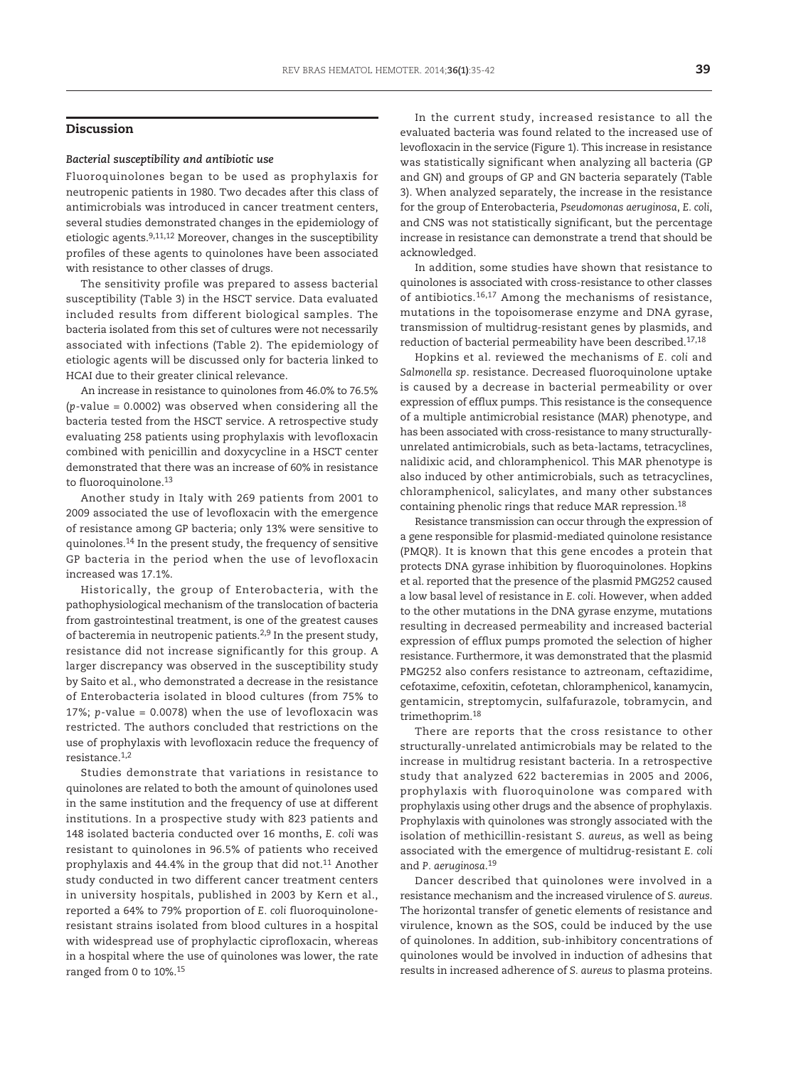### Discussion

#### *Bacterial susceptibility and antibiotic use*

Fluoroquinolones began to be used as prophylaxis for neutropenic patients in 1980. Two decades after this class of antimicrobials was introduced in cancer treatment centers, several studies demonstrated changes in the epidemiology of etiologic agents.9,11,12 Moreover, changes in the susceptibility profiles of these agents to quinolones have been associated with resistance to other classes of drugs.

The sensitivity profile was prepared to assess bacterial susceptibility (Table 3) in the HSCT service. Data evaluated included results from different biological samples. The bacteria isolated from this set of cultures were not necessarily associated with infections (Table 2). The epidemiology of etiologic agents will be discussed only for bacteria linked to HCAI due to their greater clinical relevance.

An increase in resistance to quinolones from 46.0% to 76.5% (*p*-value = 0.0002) was observed when considering all the bacteria tested from the HSCT service. A retrospective study evaluating 258 patients using prophylaxis with levofloxacin combined with penicillin and doxycycline in a HSCT center demonstrated that there was an increase of 60% in resistance to fluoroquinolone.<sup>13</sup>

Another study in Italy with 269 patients from 2001 to 2009 associated the use of levofloxacin with the emergence of resistance among GP bacteria; only 13% were sensitive to quinolones.14 In the present study, the frequency of sensitive GP bacteria in the period when the use of levofloxacin increased was 17.1%.

Historically, the group of Enterobacteria, with the pathophysiological mechanism of the translocation of bacteria from gastrointestinal treatment, is one of the greatest causes of bacteremia in neutropenic patients.<sup>2,9</sup> In the present study, resistance did not increase significantly for this group. A larger discrepancy was observed in the susceptibility study by Saito et al., who demonstrated a decrease in the resistance of Enterobacteria isolated in blood cultures (from 75% to 17%; *p*-value = 0.0078) when the use of levofloxacin was restricted. The authors concluded that restrictions on the use of prophylaxis with levofloxacin reduce the frequency of resistance.1,2

Studies demonstrate that variations in resistance to quinolones are related to both the amount of quinolones used in the same institution and the frequency of use at different institutions. In a prospective study with 823 patients and 148 isolated bacteria conducted over 16 months, *E. coli* was resistant to quinolones in 96.5% of patients who received prophylaxis and 44.4% in the group that did not.<sup>11</sup> Another study conducted in two different cancer treatment centers in university hospitals, published in 2003 by Kern et al., reported a 64% to 79% proportion of *E. coli* fluoroquinoloneresistant strains isolated from blood cultures in a hospital with widespread use of prophylactic ciprofloxacin, whereas in a hospital where the use of quinolones was lower, the rate ranged from 0 to 10%.15

In the current study, increased resistance to all the evaluated bacteria was found related to the increased use of levofloxacin in the service (Figure 1). This increase in resistance was statistically significant when analyzing all bacteria (GP and GN) and groups of GP and GN bacteria separately (Table 3). When analyzed separately, the increase in the resistance for the group of Enterobacteria, *Pseudomonas aeruginosa*, *E. coli*, and CNS was not statistically significant, but the percentage increase in resistance can demonstrate a trend that should be acknowledged.

In addition, some studies have shown that resistance to quinolones is associated with cross-resistance to other classes of antibiotics.<sup>16,17</sup> Among the mechanisms of resistance, mutations in the topoisomerase enzyme and DNA gyrase, transmission of multidrug-resistant genes by plasmids, and reduction of bacterial permeability have been described.<sup>17,18</sup>

Hopkins et al. reviewed the mechanisms of *E. coli* and *Salmonella sp*. resistance. Decreased fluoroquinolone uptake is caused by a decrease in bacterial permeability or over expression of efflux pumps. This resistance is the consequence of a multiple antimicrobial resistance (MAR) phenotype, and has been associated with cross-resistance to many structurallyunrelated antimicrobials, such as beta-lactams, tetracyclines, nalidixic acid, and chloramphenicol. This MAR phenotype is also induced by other antimicrobials, such as tetracyclines, chloramphenicol, salicylates, and many other substances containing phenolic rings that reduce MAR repression.<sup>18</sup>

Resistance transmission can occur through the expression of a gene responsible for plasmid-mediated quinolone resistance (PMQR). It is known that this gene encodes a protein that protects DNA gyrase inhibition by fluoroquinolones. Hopkins et al. reported that the presence of the plasmid PMG252 caused a low basal level of resistance in *E. coli*. However, when added to the other mutations in the DNA gyrase enzyme, mutations resulting in decreased permeability and increased bacterial expression of efflux pumps promoted the selection of higher resistance. Furthermore, it was demonstrated that the plasmid PMG252 also confers resistance to aztreonam, ceftazidime, cefotaxime, cefoxitin, cefotetan, chloramphenicol, kanamycin, gentamicin, streptomycin, sulfafurazole, tobramycin, and trimethoprim.18

There are reports that the cross resistance to other structurally-unrelated antimicrobials may be related to the increase in multidrug resistant bacteria. In a retrospective study that analyzed 622 bacteremias in 2005 and 2006, prophylaxis with fluoroquinolone was compared with prophylaxis using other drugs and the absence of prophylaxis. Prophylaxis with quinolones was strongly associated with the isolation of methicillin-resistant *S. aureus*, as well as being associated with the emergence of multidrug-resistant *E. coli*  and *P. aeruginosa*. 19

Dancer described that quinolones were involved in a resistance mechanism and the increased virulence of *S. aureus*. The horizontal transfer of genetic elements of resistance and virulence, known as the SOS, could be induced by the use of quinolones. In addition, sub-inhibitory concentrations of quinolones would be involved in induction of adhesins that results in increased adherence of *S. aureus* to plasma proteins.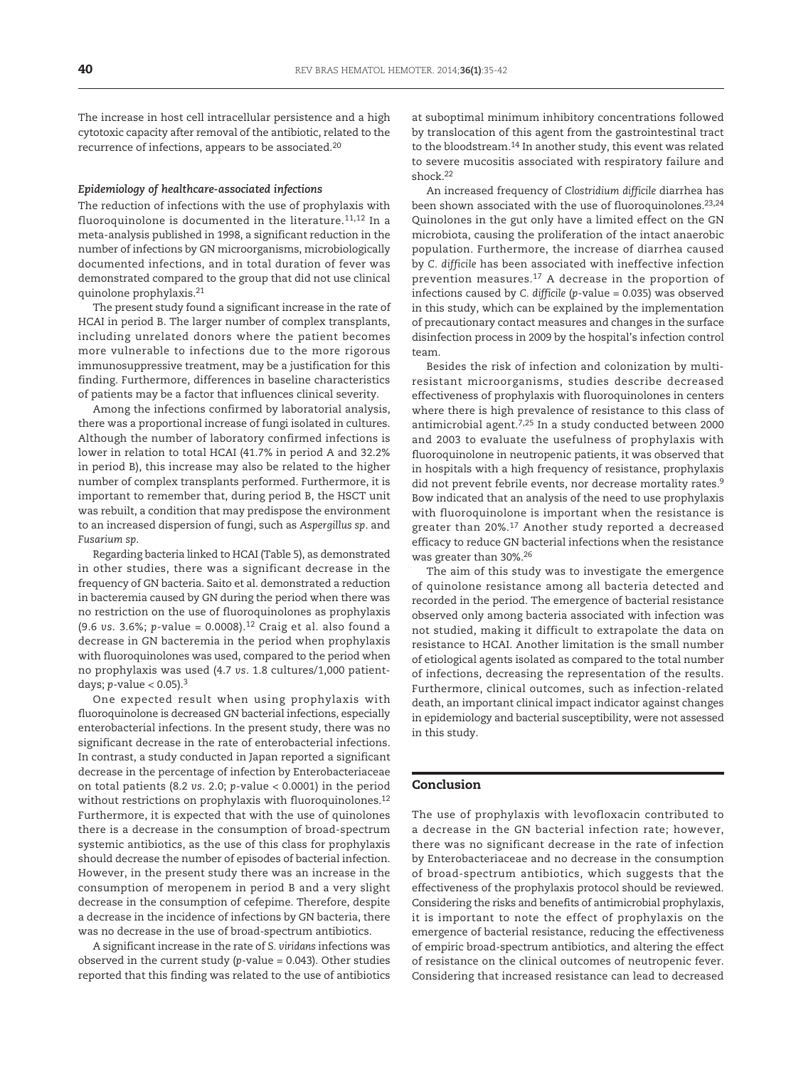The increase in host cell intracellular persistence and a high cytotoxic capacity after removal of the antibiotic, related to the recurrence of infections, appears to be associated.20

#### *Epidemiology of healthcare-associated infections*

The reduction of infections with the use of prophylaxis with fluoroquinolone is documented in the literature.<sup>11,12</sup> In a meta-analysis published in 1998, a significant reduction in the number of infections by GN microorganisms, microbiologically documented infections, and in total duration of fever was demonstrated compared to the group that did not use clinical quinolone prophylaxis.21

The present study found a significant increase in the rate of HCAI in period B. The larger number of complex transplants, including unrelated donors where the patient becomes more vulnerable to infections due to the more rigorous immunosuppressive treatment, may be a justification for this finding. Furthermore, differences in baseline characteristics of patients may be a factor that influences clinical severity.

Among the infections confirmed by laboratorial analysis, there was a proportional increase of fungi isolated in cultures. Although the number of laboratory confirmed infections is lower in relation to total HCAI (41.7% in period A and 32.2% in period B), this increase may also be related to the higher number of complex transplants performed. Furthermore, it is important to remember that, during period B, the HSCT unit was rebuilt, a condition that may predispose the environment to an increased dispersion of fungi, such as *Aspergillus sp*. and *Fusarium sp*.

Regarding bacteria linked to HCAI (Table 5), as demonstrated in other studies, there was a significant decrease in the frequency of GN bacteria. Saito et al. demonstrated a reduction in bacteremia caused by GN during the period when there was no restriction on the use of fluoroquinolones as prophylaxis (9.6 *vs*. 3.6%; *p*-value = 0.0008).12 Craig et al. also found a decrease in GN bacteremia in the period when prophylaxis with fluoroquinolones was used, compared to the period when no prophylaxis was used (4.7 *vs*. 1.8 cultures/1,000 patientdays;  $p$ -value  $< 0.05$ ).<sup>3</sup>

One expected result when using prophylaxis with fluoroquinolone is decreased GN bacterial infections, especially enterobacterial infections. In the present study, there was no significant decrease in the rate of enterobacterial infections. In contrast, a study conducted in Japan reported a significant decrease in the percentage of infection by Enterobacteriaceae on total patients (8.2 *vs*. 2.0; *p*-value < 0.0001) in the period without restrictions on prophylaxis with fluoroquinolones.<sup>12</sup> Furthermore, it is expected that with the use of quinolones there is a decrease in the consumption of broad-spectrum systemic antibiotics, as the use of this class for prophylaxis should decrease the number of episodes of bacterial infection. However, in the present study there was an increase in the consumption of meropenem in period B and a very slight decrease in the consumption of cefepime. Therefore, despite a decrease in the incidence of infections by GN bacteria, there was no decrease in the use of broad-spectrum antibiotics.

A significant increase in the rate of *S. viridans* infections was observed in the current study (*p*-value = 0.043). Other studies reported that this finding was related to the use of antibiotics

at suboptimal minimum inhibitory concentrations followed by translocation of this agent from the gastrointestinal tract to the bloodstream.14 In another study, this event was related to severe mucositis associated with respiratory failure and shock.<sup>22</sup>

An increased frequency of *Clostridium difficile* diarrhea has been shown associated with the use of fluoroquinolones.<sup>23,24</sup> Quinolones in the gut only have a limited effect on the GN microbiota, causing the proliferation of the intact anaerobic population. Furthermore, the increase of diarrhea caused by *C. difficile* has been associated with ineffective infection prevention measures.17 A decrease in the proportion of infections caused by *C. difficile* (*p*-value = 0.035) was observed in this study, which can be explained by the implementation of precautionary contact measures and changes in the surface disinfection process in 2009 by the hospital's infection control team.

Besides the risk of infection and colonization by multiresistant microorganisms, studies describe decreased effectiveness of prophylaxis with fluoroquinolones in centers where there is high prevalence of resistance to this class of antimicrobial agent.7,25 In a study conducted between 2000 and 2003 to evaluate the usefulness of prophylaxis with fluoroquinolone in neutropenic patients, it was observed that in hospitals with a high frequency of resistance, prophylaxis did not prevent febrile events, nor decrease mortality rates.<sup>9</sup> Bow indicated that an analysis of the need to use prophylaxis with fluoroquinolone is important when the resistance is greater than 20%.17 Another study reported a decreased efficacy to reduce GN bacterial infections when the resistance was greater than 30%.26

The aim of this study was to investigate the emergence of quinolone resistance among all bacteria detected and recorded in the period. The emergence of bacterial resistance observed only among bacteria associated with infection was not studied, making it difficult to extrapolate the data on resistance to HCAI. Another limitation is the small number of etiological agents isolated as compared to the total number of infections, decreasing the representation of the results. Furthermore, clinical outcomes, such as infection-related death, an important clinical impact indicator against changes in epidemiology and bacterial susceptibility, were not assessed in this study.

#### Conclusion

The use of prophylaxis with levofloxacin contributed to a decrease in the GN bacterial infection rate; however, there was no significant decrease in the rate of infection by Enterobacteriaceae and no decrease in the consumption of broad-spectrum antibiotics, which suggests that the effectiveness of the prophylaxis protocol should be reviewed. Considering the risks and benefits of antimicrobial prophylaxis, it is important to note the effect of prophylaxis on the emergence of bacterial resistance, reducing the effectiveness of empiric broad-spectrum antibiotics, and altering the effect of resistance on the clinical outcomes of neutropenic fever. Considering that increased resistance can lead to decreased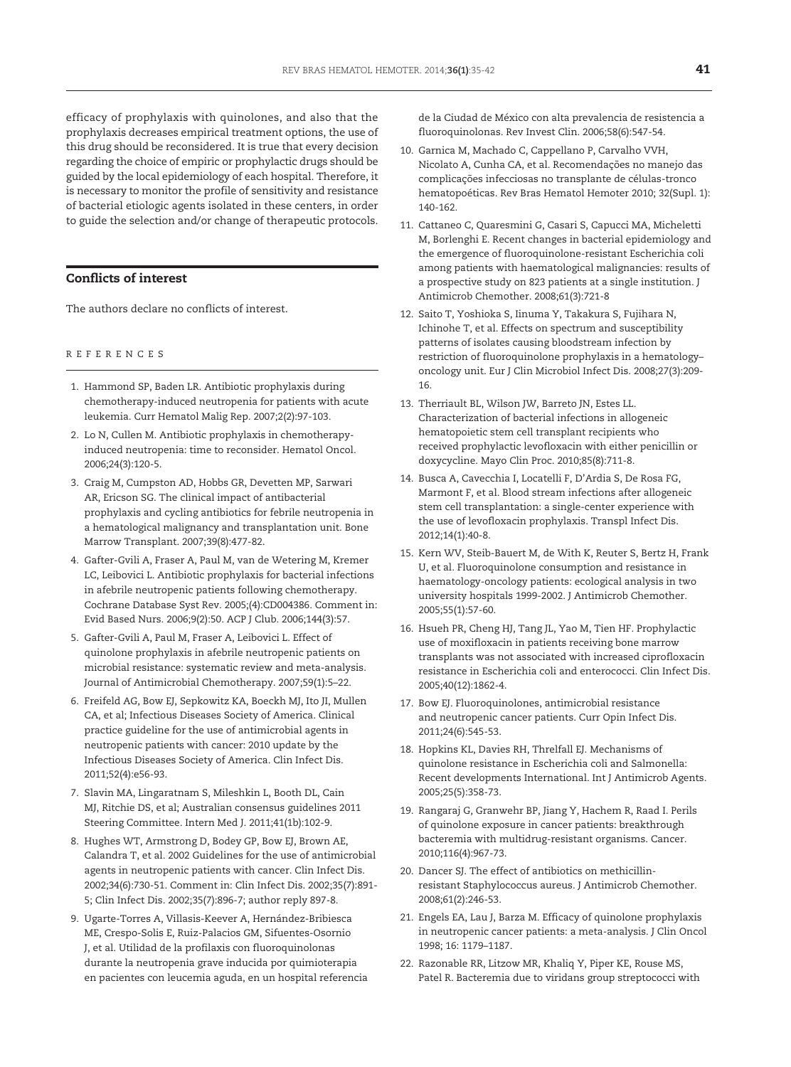efficacy of prophylaxis with quinolones, and also that the prophylaxis decreases empirical treatment options, the use of this drug should be reconsidered. It is true that every decision regarding the choice of empiric or prophylactic drugs should be guided by the local epidemiology of each hospital. Therefore, it is necessary to monitor the profile of sensitivity and resistance of bacterial etiologic agents isolated in these centers, in order to guide the selection and/or change of therapeutic protocols.

# Conflicts of interest

The authors declare no conflicts of interest.

#### REFERENCES

- 1. Hammond SP, Baden LR. Antibiotic prophylaxis during chemotherapy-induced neutropenia for patients with acute leukemia. Curr Hematol Malig Rep. 2007;2(2):97-103.
- 2. Lo N, Cullen M. Antibiotic prophylaxis in chemotherapyinduced neutropenia: time to reconsider. Hematol Oncol. 2006;24(3):120-5.
- 3. Craig M, Cumpston AD, Hobbs GR, Devetten MP, Sarwari AR, Ericson SG. The clinical impact of antibacterial prophylaxis and cycling antibiotics for febrile neutropenia in a hematological malignancy and transplantation unit. Bone Marrow Transplant. 2007;39(8):477-82.
- 4. Gafter-Gvili A, Fraser A, Paul M, van de Wetering M, Kremer LC, Leibovici L. Antibiotic prophylaxis for bacterial infections in afebrile neutropenic patients following chemotherapy. Cochrane Database Syst Rev. 2005;(4):CD004386. Comment in: Evid Based Nurs. 2006;9(2):50. ACP J Club. 2006;144(3):57.
- 5. Gafter-Gvili A, Paul M, Fraser A, Leibovici L. Effect of quinolone prophylaxis in afebrile neutropenic patients on microbial resistance: systematic review and meta-analysis. Journal of Antimicrobial Chemotherapy. 2007;59(1):5–22.
- 6. Freifeld AG, Bow EJ, Sepkowitz KA, Boeckh MJ, Ito JI, Mullen CA, et al; Infectious Diseases Society of America. Clinical practice guideline for the use of antimicrobial agents in neutropenic patients with cancer: 2010 update by the Infectious Diseases Society of America. Clin Infect Dis. 2011;52(4):e56-93.
- 7. Slavin MA, Lingaratnam S, Mileshkin L, Booth DL, Cain MJ, Ritchie DS, et al; Australian consensus guidelines 2011 Steering Committee. Intern Med J. 2011;41(1b):102-9.
- 8. Hughes WT, Armstrong D, Bodey GP, Bow EJ, Brown AE, Calandra T, et al. 2002 Guidelines for the use of antimicrobial agents in neutropenic patients with cancer. Clin Infect Dis. 2002;34(6):730-51. Comment in: Clin Infect Dis. 2002;35(7):891- 5; Clin Infect Dis. 2002;35(7):896-7; author reply 897-8.
- 9. Ugarte-Torres A, Villasis-Keever A, Hernández-Bribiesca ME, Crespo-Solis E, Ruiz-Palacios GM, Sifuentes-Osornio J, et al. Utilidad de la profilaxis con fluoroquinolonas durante la neutropenia grave inducida por quimioterapia en pacientes con leucemia aguda, en un hospital referencia

de la Ciudad de México con alta prevalencia de resistencia a fluoroquinolonas. Rev Invest Clin. 2006;58(6):547-54.

- 10. Garnica M, Machado C, Cappellano P, Carvalho VVH, Nicolato A, Cunha CA, et al. Recomendações no manejo das complicações infecciosas no transplante de células-tronco hematopoéticas. Rev Bras Hematol Hemoter 2010; 32(Supl. 1): 140-162.
- 11. Cattaneo C, Quaresmini G, Casari S, Capucci MA, Micheletti M, Borlenghi E. Recent changes in bacterial epidemiology and the emergence of fluoroquinolone-resistant Escherichia coli among patients with haematological malignancies: results of a prospective study on 823 patients at a single institution. J Antimicrob Chemother. 2008;61(3):721-8
- 12. Saito T, Yoshioka S, Iinuma Y, Takakura S, Fujihara N, Ichinohe T, et al. Effects on spectrum and susceptibility patterns of isolates causing bloodstream infection by restriction of fluoroquinolone prophylaxis in a hematology– oncology unit. Eur J Clin Microbiol Infect Dis. 2008;27(3):209- 16.
- 13. Therriault BL, Wilson JW, Barreto JN, Estes LL. Characterization of bacterial infections in allogeneic hematopoietic stem cell transplant recipients who received prophylactic levofloxacin with either penicillin or doxycycline. Mayo Clin Proc. 2010;85(8):711-8.
- 14. Busca A, Cavecchia I, Locatelli F, D'Ardia S, De Rosa FG, Marmont F, et al. Blood stream infections after allogeneic stem cell transplantation: a single-center experience with the use of levofloxacin prophylaxis. Transpl Infect Dis. 2012;14(1):40-8.
- 15. Kern WV, Steib-Bauert M, de With K, Reuter S, Bertz H, Frank U, et al. Fluoroquinolone consumption and resistance in haematology-oncology patients: ecological analysis in two university hospitals 1999-2002. J Antimicrob Chemother. 2005;55(1):57-60.
- 16. Hsueh PR, Cheng HJ, Tang JL, Yao M, Tien HF. Prophylactic use of moxifloxacin in patients receiving bone marrow transplants was not associated with increased ciprofloxacin resistance in Escherichia coli and enterococci. Clin Infect Dis. 2005;40(12):1862-4.
- 17. Bow EJ. Fluoroquinolones, antimicrobial resistance and neutropenic cancer patients. Curr Opin Infect Dis. 2011;24(6):545-53.
- 18. Hopkins KL, Davies RH, Threlfall EJ. Mechanisms of quinolone resistance in Escherichia coli and Salmonella: Recent developments International. Int J Antimicrob Agents. 2005;25(5):358-73.
- 19. Rangaraj G, Granwehr BP, Jiang Y, Hachem R, Raad I. Perils of quinolone exposure in cancer patients: breakthrough bacteremia with multidrug-resistant organisms. Cancer. 2010;116(4):967-73.
- 20. Dancer SJ. The effect of antibiotics on methicillinresistant Staphylococcus aureus. J Antimicrob Chemother. 2008;61(2):246-53.
- 21. Engels EA, Lau J, Barza M. Efficacy of quinolone prophylaxis in neutropenic cancer patients: a meta-analysis. J Clin Oncol 1998; 16: 1179–1187.
- 22. Razonable RR, Litzow MR, Khaliq Y, Piper KE, Rouse MS, Patel R. Bacteremia due to viridans group streptococci with